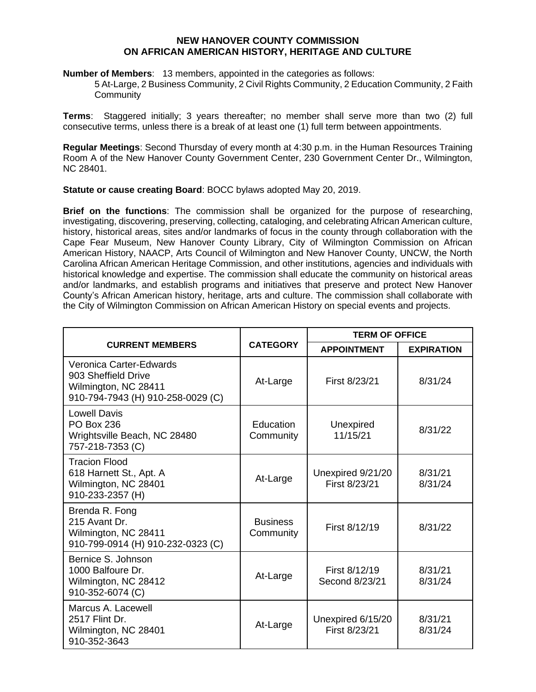## **NEW HANOVER COUNTY COMMISSION ON AFRICAN AMERICAN HISTORY, HERITAGE AND CULTURE**

**Number of Members**: 13 members, appointed in the categories as follows:

5 At-Large, 2 Business Community, 2 Civil Rights Community, 2 Education Community, 2 Faith **Community** 

**Terms**: Staggered initially; 3 years thereafter; no member shall serve more than two (2) full consecutive terms, unless there is a break of at least one (1) full term between appointments.

**Regular Meetings**: Second Thursday of every month at 4:30 p.m. in the Human Resources Training Room A of the New Hanover County Government Center, 230 Government Center Dr., Wilmington, NC 28401.

**Statute or cause creating Board**: BOCC bylaws adopted May 20, 2019.

**Brief on the functions**: The commission shall be organized for the purpose of researching, investigating, discovering, preserving, collecting, cataloging, and celebrating African American culture, history, historical areas, sites and/or landmarks of focus in the county through collaboration with the Cape Fear Museum, New Hanover County Library, City of Wilmington Commission on African American History, NAACP, Arts Council of Wilmington and New Hanover County, UNCW, the North Carolina African American Heritage Commission, and other institutions, agencies and individuals with historical knowledge and expertise. The commission shall educate the community on historical areas and/or landmarks, and establish programs and initiatives that preserve and protect New Hanover County's African American history, heritage, arts and culture. The commission shall collaborate with the City of Wilmington Commission on African American History on special events and projects.

| <b>CURRENT MEMBERS</b>                                                                                      |                              | <b>TERM OF OFFICE</b>              |                    |
|-------------------------------------------------------------------------------------------------------------|------------------------------|------------------------------------|--------------------|
|                                                                                                             | <b>CATEGORY</b>              | <b>APPOINTMENT</b>                 | <b>EXPIRATION</b>  |
| Veronica Carter-Edwards<br>903 Sheffield Drive<br>Wilmington, NC 28411<br>910-794-7943 (H) 910-258-0029 (C) | At-Large                     | First 8/23/21                      | 8/31/24            |
| <b>Lowell Davis</b><br><b>PO Box 236</b><br>Wrightsville Beach, NC 28480<br>757-218-7353 (C)                | Education<br>Community       | Unexpired<br>11/15/21              | 8/31/22            |
| <b>Tracion Flood</b><br>618 Harnett St., Apt. A<br>Wilmington, NC 28401<br>910-233-2357 (H)                 | At-Large                     | Unexpired 9/21/20<br>First 8/23/21 | 8/31/21<br>8/31/24 |
| Brenda R. Fong<br>215 Avant Dr.<br>Wilmington, NC 28411<br>910-799-0914 (H) 910-232-0323 (C)                | <b>Business</b><br>Community | First 8/12/19                      | 8/31/22            |
| Bernice S. Johnson<br>1000 Balfoure Dr.<br>Wilmington, NC 28412<br>910-352-6074 (C)                         | At-Large                     | First 8/12/19<br>Second 8/23/21    | 8/31/21<br>8/31/24 |
| Marcus A. Lacewell<br>2517 Flint Dr.<br>Wilmington, NC 28401<br>910-352-3643                                | At-Large                     | Unexpired 6/15/20<br>First 8/23/21 | 8/31/21<br>8/31/24 |